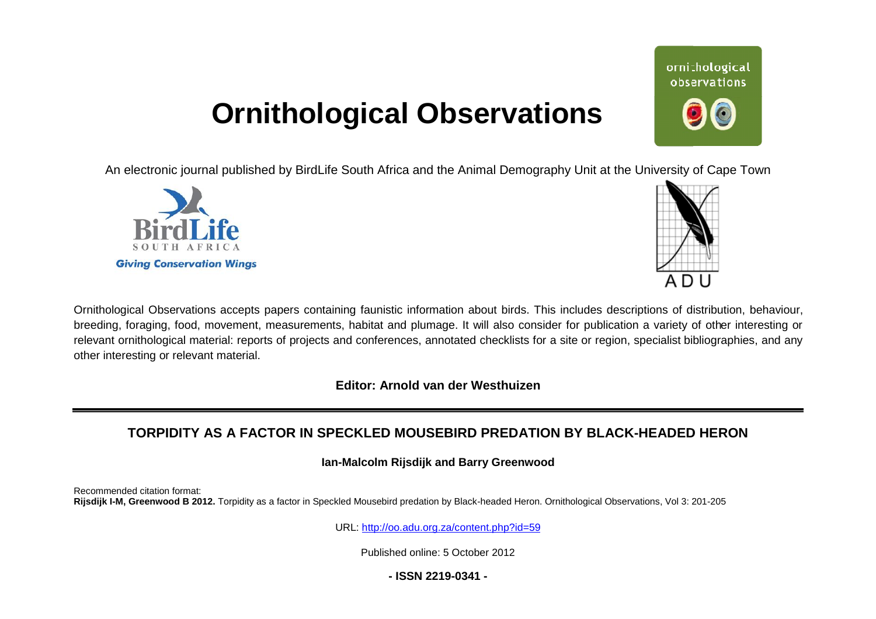## **Ornithological Observations**

An electronic journal published by BirdLife South Africa and the Animal Demography Unit at the University of Cape Town





Ornithological Observations accepts papers containing faunistic information about birds. This includes descriptions of distribution, behaviour, breeding, foraging, food, movement, measurements, habitat and plumage. It will also consider for publication a variety of other interesting or relevant ornithological material: reports of projects and conferences, annotated checklists for a site or region, specialist bibliographies, and any other interesting or relevant material.

**Editor: Arnold van der Westhuizen**

### **TORPIDITY AS A FACTOR IN SPECKLED MOUSEBIRD P PREDATION BY BLACK-HEADED HERON HEADED**

**Ian-Malcolm Rijsdijk and Barry Greenwood Malcolm**

Recommended citation format: Rijsdijk I-M, Greenwood B 2012. Torpidity as a factor in Speckled Mousebird predation by Black-headed Heron. Ornithological Observations, Vol 3: 201-205

URL: <http://oo.adu.org.za/content.php?id=59>

Published online: 5 October 2012

**- ISSN 2219-0341 -** 

# ornithological observations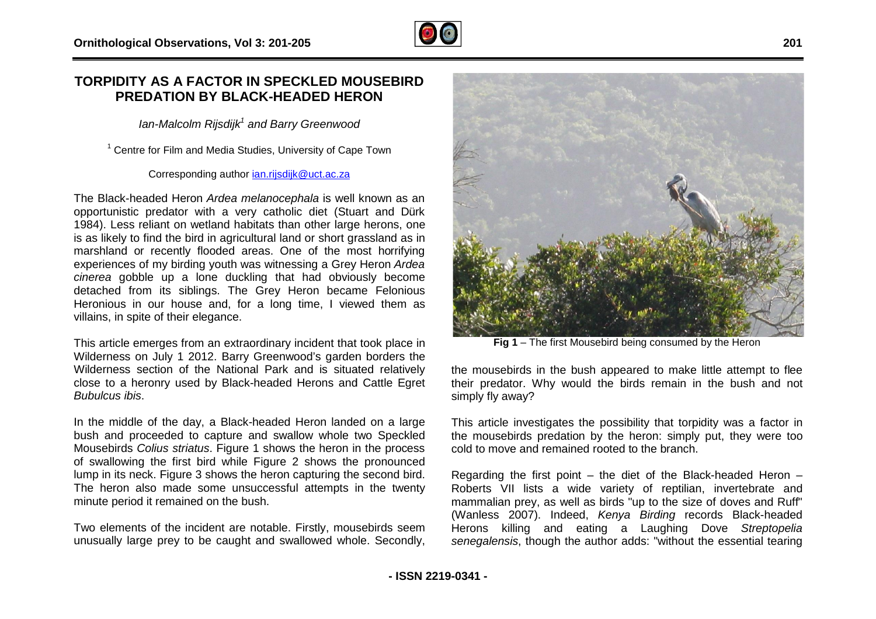### **TORPIDITY AS A FACTOR IN SPECKLED MOUSEB R MOUSEBIRD PREDATION BY BLACK-HEADED HERON HEADED**

*Ian-Malcolm Rijsdijk<sup>1</sup> and Barry Greenwood* 

<sup>1</sup> Centre for Film and Media Studies, University of Cape Town

Corresponding author [ian.rijsdijk@uct.ac.za](mailto:ian.rijsdijk@uct.ac.za)

The Black-headed Heron *Ardea melanocephala* is well known as an opportunistic predator with a very catholic diet (Stuart and Dürk 1984). Less reliant on wetland habitats than other large herons, one is as likely to find the bird in agricultural land or short grassland as in marshland or recently flooded areas. One of the most horrifying experiences of my birding youth was witnessing a Grey Heron *Ardea cinerea* gobble up a lone duckling that had obviously become detached from its siblings. The Grey Heron became Felonious Heronious in our house and, for a long time, I viewed them as villains, in spite of their elegance.

This article emerges from an extraordinary incident that took place in Wilderness on July 1 2012. Barry Greenwood's garden borders the Wilderness section of the National Park and is situated relatively close to a heronry used by Black-headed Herons and Cattle Egret *Bubulcus ibis*.

In the middle of the day, a Black-headed Heron landed on a large bush and proceeded to capture and swallow whole two Speckled Mousebirds *Colius striatus*. Figure 1 shows the heron in the proc of swallowing the first bird while Figure 2 shows the pronounced lump in its neck. Figure 3 shows the heron capturing the second bird. The heron also made some unsuccessful attempts in the twenty minute period it remained on the bush. headed Herons and Cattle Egret<br>headed Heron landed on a large<br>and swallow whole two Speckled<br>1 shows the heron in the process

Two elements of the incident are notable. Firstly, mousebirds seem unusually large prey to be caught and swallowed whole. Secondly,

**Fig 1** – The first Mousebird being consumed by the Heron

the mousebirds in the bush appeared to make little attempt to flee their predator. Why would the birds remain in the bush and not simply fly away?

This article investigates the possibility that torpidity was a factor in the mousebirds predation by the heron: simply put, they were too cold to move and remained rooted to the branch.

cold to move and remained rooted to the branch.<br>Regarding the first point – the diet of the Black-headed Heron – Roberts VII lists a wide variety of reptilian, invertebrate and mammalian prey, as well as birds "up to the size of doves and Ruff" (Wanless 2007). Indeed, Kenya Birding records Black-headed Herons killing and eating a Laughing Dove *Streptopelia*  senegalensis, though the author adds: "without the essential tearing

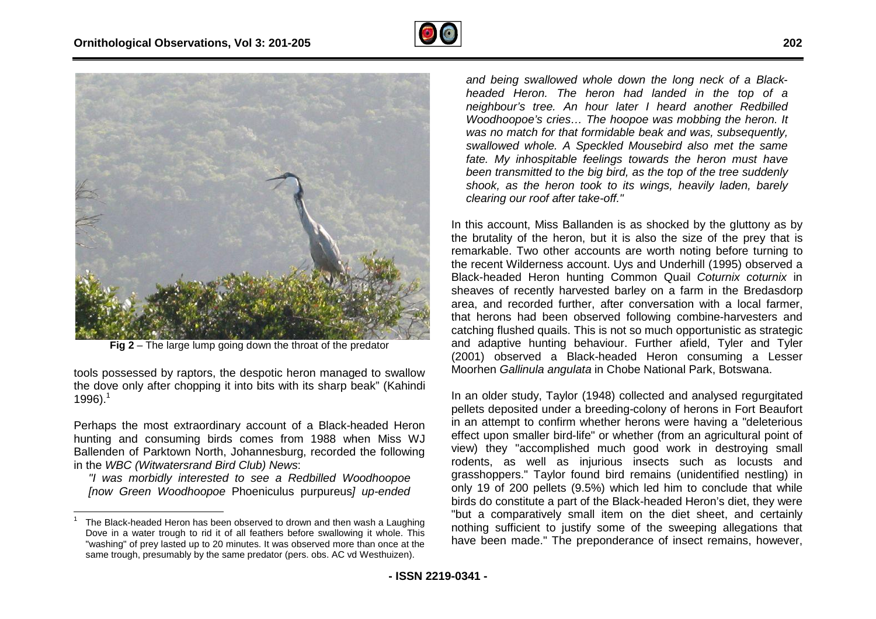



**Fig 2** – The large lump going down the throat of the predator

tools possessed by raptors, the despotic heron managed to swallow the dove only after chopping it into bits with its sharp beak" (Kahindi 1996). $1$ 

Perhaps the most extraordinary account of a Black-headed Heron hunting and consuming birds comes from 1988 when Miss WJ Ballenden of Parktown North, Johannesburg, recorded the following in the *WBC (Witwatersrand Bird Club) News*: on managed to s<br>its sharp beak" (<br>a Black-headed<br>1988 when Mi<br>, recorded the fo

*"I was morbidly interested to see a Redbilled Woodhoopoe [now Green Woodhoopoe* Phoeniculus purpureus*] up Iup-ended* 

 $\overline{a}$ 

*and being swallowed whole down the long neck of a Black Blackheaded Heron.* The *heron had landed in the top* of *a neighbour's tree. An hour later I heard another Redbilled Woodhoopoe's cries… The hoopoe was mobbing the heron. It was no match for that formidable beak and was, subsequently, swallowed whole. A Speckled Mousebird also met the same fate. My inhospitable feelings towards the heron must have been transmitted to the big bird, as the top of the tree suddenly shook, as the heron took to its wings, heavily laden, barely clearing our roof after take-off."* 

In this account, Miss Ballanden is as shocked by the gluttony as by the brutality of the heron, but it is also the size of the prey that is remarkable. Two other accounts are worth noting before turning to the recent Wilderness account. Uys and Underhill (1995) observed a In this account, Miss Ballanden is as shocked by the gluttony as by the brutality of the heron, but it is also the size of the prey that is remarkable. Two other accounts are worth noting before turning to the recent Wilde sheaves of recently harvested barley on a farm in the Bredasdorp area, and recorded further, after conversation with a local farmer, that herons had been observed following combine-harvesters and catching flushed quails. This is not so much opportunistic as strategic and adaptive hunting behaviour. Further afield, Tyler and Tyler (2001) observed a Black-headed Heron consuming a Lesser Moorhen *Gallinula angulata* in Chobe National Park, Botswana.

In an older study, Taylor (1948) collected and analysed regurgitated pellets deposited under a breeding-colony of herons in Fort Beaufort in an attempt to confirm whether herons were having a "deleterious" effect upon smaller bird-life" or whether (from an agricultural point of view) they "accomplished much good work in destroying small view) they "accomplished much good work in destroying small<br>rodents, as well as injurious insects such as locusts and grasshoppers." Taylor found bird remains (unidentified nestling) in only 19 of 200 pellets (9.5%) which led him to conclude that while birds do constitute a part of the Black-headed Heron's diet, they were "but a comparatively small item on the diet sheet, and certainly nothing sufficient to justify some of the sweeping allegations tha have been made." The preponderance of insect remains, however, Black-headed Heron consuming a Lesser<br>
ulata in Chobe National Park, Botswana.<br>
lor (1948) collected and analysed regurgitated<br>
ir a breeding-colony of herons in Fort Beaufort<br>
m whether herons were having a "deleterious" only 19 of 200 pellets (9.5%) which led him to conclude that while birds do constitute a part of the Black-headed Heron's diet, they were but a comparatively small item on the diet sheet, and certainly nothing sufficient t

<sup>1</sup> The Black-headed Heron has been observed to drown and then wash a Laughing Dove in a water trough to rid it of all feathers before swallowing it whole. This "washing" of prey lasted up to 20 minutes. It was observed more than once at the same trough, presumably by the same predator (pers. obs. AC vd Westhuizen).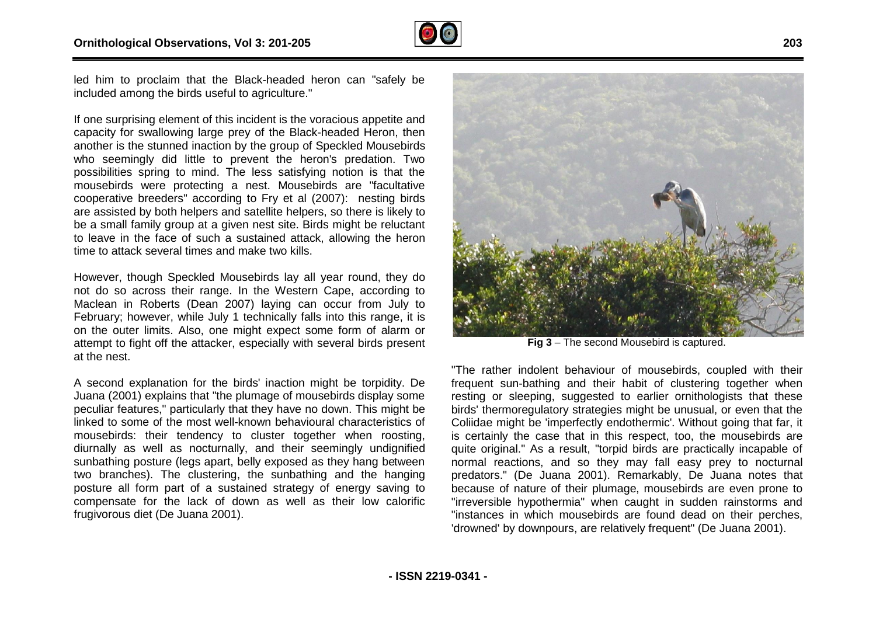

led him to proclaim that the Black-headed heron can "safely be included among the birds useful to agriculture."

If one surprising element of this incident is the voracious appetite and capacity for swallowing large prey of the Black-headed Heron, then another is the stunned inaction by the group of Speckled Mousebirds who seemingly did little to prevent the heron's predation. Two possibilities spring to mind. The less satisfying notion is tha mousebirds were protecting a nest. Mousebirds are "facultative cooperative breeders" according to Fry et al (2007): nesting birds are assisted by both helpers and satellite helpers, so there is likely to be a small family group at a given nest site. Birds might be reluctant to leave in the face of such a sustained attack, allowing the heron time to attack several times and make two kills. headed Heron, then<br>Speckled Mousebirds<br>n's predation. Two<br>g notion is that the

However, though Speckled Mousebirds lay all year round, they do not do so across their range. In the Western Cape, according to Maclean in Roberts (Dean 2007) laying can occur from July to February; however, while July 1 technically falls into this range, it is on the outer limits. Also, one might expect some form of alarm or attempt to fight off the attacker, especially with several birds present at the nest. ge. In the Western Cape, according to<br>
1 2007) laying can occur from July to<br>
1 1 technically falls into this range, it is<br>
ne might expect some form of alarm or<br>
ker, especially with several birds present<br>
he birds' inact

A second explanation for the birds' inaction might be torpidity. De Juana (2001) explains that "the plumage of mousebirds peculiar features," particularly that they have no down. This might be linked to some of the most well-known behavioural characteristics of mousebirds: their tendency to cluster together when roosting, diurnally as well as nocturnally, and their seemingly undignified sunbathing posture (legs apart, belly exposed as they hang between two branches). The clustering, the sunbathing and the hanging posture all form part of a sustained strategy of energy saving to compensate for the lack of down as well as their low calorific frugivorous diet (De Juana 2001). known behavioural characteristics of<br>b cluster together when roosting,<br>ly, and their seemingly undignified<br>belly exposed as they hang between



**Fig 3** – The second Mousebird is captured.

"The rather indolent behaviour of mousebirds, coupled with their frequent sun-bathing and their habit of clustering together when resting or sleeping, suggested to earlier ornithologists that these birds' thermoregulatory strategies might be unusual, or even that the Coliidae might be 'imperfectly endothermic'. Without going that far, it is certainly the case that in this respect, too, the mousebirds are Coliidae might be 'imperfectly endothermic'. Without going that far, it<br>is certainly the case that in this respect, too, the mousebirds are<br>quite original." As a result, "torpid birds are practically incapable of normal reactions, and so they may fall easy prey to nocturnal predators." (De Juana 2001). Remarkably, De Juana notes that because of nature of their plumage, mousebirds are even prone to because of nature of their plumage, mousebirds are even prone to<br>"irreversible hypothermia" when caught in sudden rainstorms and "instances in which mousebirds are found dead on their perches, "instances in which mousebirds are found dead on their perche<br>'drowned' by downpours, are relatively frequent" (De Juana 2001). The rather indolent behaviour of mousebirds, coupled with their<br>requent sun-bathing and their habit of clustering together when<br>esting or sleeping, suggested to earlier ornithologists that these<br>birds' thermoregulatory str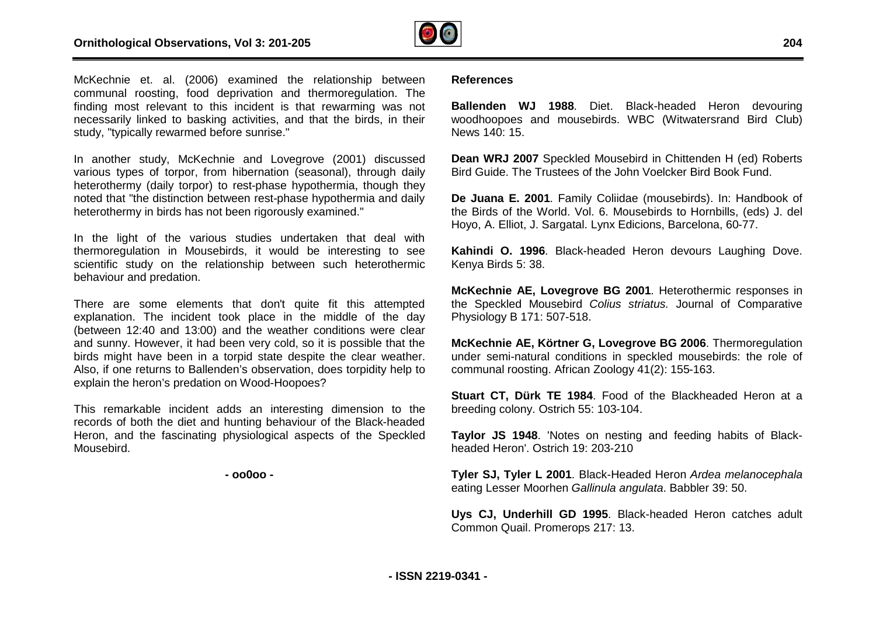

McKechnie et. al. (2006) examined the relationship between communal roosting, food deprivation and thermoregulation. The finding most relevant to this incident is that rewarming was not necessarily linked to basking activities, and that the birds, in their study, "typically rewarmed before sunrise."

In another study, McKechnie and Lovegrove (2001) discussed various types of torpor, from hibernation (seasonal), through daily heterothermy (daily torpor) to rest-phase hypothermia, though they noted that "the distinction between rest-phase hypothermia heterothermy in birds has not been rigorously examined." ities, and that the birds, in their<br>unrise."<br>d Lovegrove (2001) discussed<br>rnation (seasonal), through daily<br>phase hypothermia, though they<br>rest-phase hypothermia and daily

In the light of the various studies undertaken that deal with thermoregulation in Mousebirds, it would be interesting to see scientific study on the relationship between such heterothermic behaviour and predation.

There are some elements that don't quite fit this attempted explanation. The incident took place in the middle of the day (between 12:40 and 13:00) and the weather conditions were clear and sunny. However, it had been very cold, so it is possible that the birds might have been in a torpid state despite the clear weather. Also, if one returns to Ballenden's observation, does torpidity help to explain the heron's predation on Wood-Hoopoes? ousebirds, it would be interesting to see<br>relationship between such heterothermic<br>i.<br>ments that don't quite fit this attempted<br>ent took place in the middle of the day<br>3:00) and the weather conditions were clear<br>had been ve

This remarkable incident adds an interesting dimension to the records of both the diet and hunting behaviour of the Black-headed Heron, and the fascinating physiological aspects of the Speckled Mousebird.

**- oo0oo -** 

#### **References**

Ballenden WJ 1988. Diet. Black-headed Heron devouring woodhoopoes and mousebirds. WBC (Witwatersrand Bird Club) News 140: 15. woodhoopoes and mousebirds. WBC (Witwatersrand Bird Club)<br>News 140: 15.<br>**Dean WRJ 2007** Speckled Mousebird in Chittenden H (ed) Roberts

Bird Guide. The Trustees of the John Voelcker Bird Book Fund.

**De Juana E. 2001**. Family Coliidae (mousebirds). In: Handbook of the Birds of the World. Vol. 6. Mousebirds to Hornbills, (eds) J. del Hoyo, A. Elliot, J. Sargatal. Lynx Edicions, Barcelona, 60 60-77.

Kahindi O. 1996. Black-headed Heron devours Laughing Dove. Kenya Birds 5: 38.

**McKechnie AE, Lovegrove BG 2001**. Heterothermic responses in the Speckled Mousebird *Colius striatus.* Journal of Comparative Physiology B 171: 507-518.

**McKechnie AE, Körtner G, Lovegrove BG 2006** . Thermoregulation under semi-natural conditions in speckled mousebirds: the role of communal roosting. African Zoology 41(2): 155-163. communal roosting. African Zoology 41(2): 155-

**Stuart CT, Dürk TE 1984**. Food of the Blackheaded Heron at a breeding colony. Ostrich 55: 103-104.

Taylor JS 1948. 'Notes on nesting and feeding habits of Blackheaded Heron'. Ostrich 19: 203-210

**Tyler SJ, Tyler L 2001**. Black-Headed Heron *Ardea m melanocephala* eating Lesser Moorhen *Gallinula angulata*. Babbler 39: 50.

Uys CJ, Underhill GD 1995. Black-headed Heron catches adult Common Quail. Promerops 217: 13.